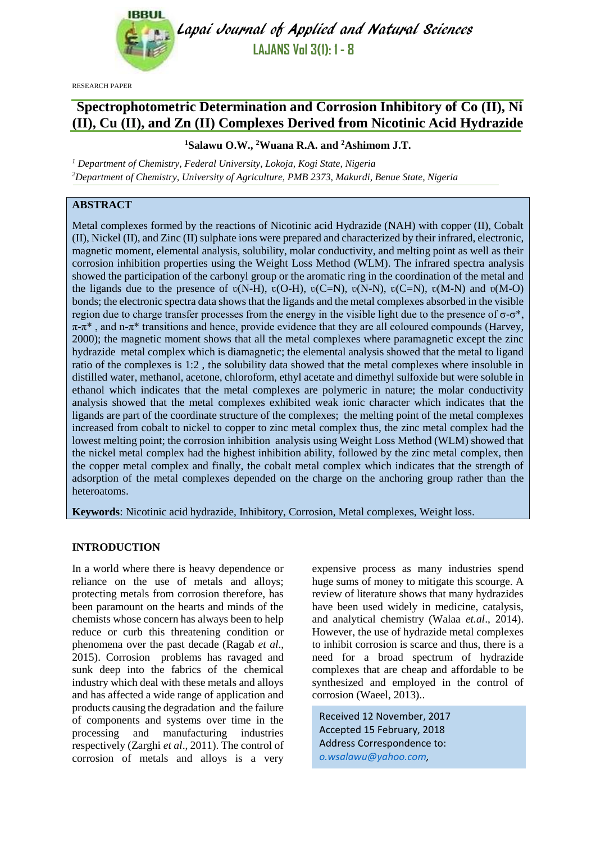

Lapai Journal of Applied and Natural Sciences **LAJANS Vol 3(1): 1 - 8**

RESEARCH PAPER

# **Spectrophotometric Determination and Corrosion Inhibitory of Co (II), Ni (II), Cu (II), and Zn (II) Complexes Derived from Nicotinic Acid Hydrazide**

# **<sup>1</sup>Salawu O.W., <sup>2</sup>Wuana R.A. and <sup>2</sup>Ashimom J.T.**

*<sup>1</sup> Department of Chemistry, Federal University, Lokoja, Kogi State, Nigeria <sup>2</sup>Department of Chemistry, University of Agriculture, PMB 2373, Makurdi, Benue State, Nigeria*

## **ABSTRACT**

Metal complexes formed by the reactions of Nicotinic acid Hydrazide (NAH) with copper (II), Cobalt (II), Nickel (II), and Zinc (II) sulphate ions were prepared and characterized by their infrared, electronic, magnetic moment, elemental analysis, solubility, molar conductivity, and melting point as well as their corrosion inhibition properties using the Weight Loss Method (WLM). The infrared spectra analysis showed the participation of the carbonyl group or the aromatic ring in the coordination of the metal and the ligands due to the presence of  $v(N-H)$ ,  $v(O-H)$ ,  $v(C=N)$ ,  $v(N-N)$ ,  $v(C=N)$ ,  $v(M-N)$  and  $v(M-O)$ bonds; the electronic spectra data shows that the ligands and the metal complexes absorbed in the visible region due to charge transfer processes from the energy in the visible light due to the presence of σ-σ\*,  $\pi$ - $\pi$ <sup>\*</sup>, and n- $\pi$ <sup>\*</sup> transitions and hence, provide evidence that they are all coloured compounds (Harvey, 2000); the magnetic moment shows that all the metal complexes where paramagnetic except the zinc hydrazide metal complex which is diamagnetic; the elemental analysis showed that the metal to ligand ratio of the complexes is 1:2 , the solubility data showed that the metal complexes where insoluble in distilled water, methanol, acetone, chloroform, ethyl acetate and dimethyl sulfoxide but were soluble in ethanol which indicates that the metal complexes are polymeric in nature; the molar conductivity analysis showed that the metal complexes exhibited weak ionic character which indicates that the ligands are part of the coordinate structure of the complexes; the melting point of the metal complexes increased from cobalt to nickel to copper to zinc metal complex thus, the zinc metal complex had the lowest melting point; the corrosion inhibition analysis using Weight Loss Method (WLM) showed that the nickel metal complex had the highest inhibition ability, followed by the zinc metal complex, then the copper metal complex and finally, the cobalt metal complex which indicates that the strength of adsorption of the metal complexes depended on the charge on the anchoring group rather than the heteroatoms.

**Keywords**: Nicotinic acid hydrazide, Inhibitory, Corrosion, Metal complexes, Weight loss.

# **INTRODUCTION**

In a world where there is heavy dependence or reliance on the use of metals and alloys; protecting metals from corrosion therefore, has been paramount on the hearts and minds of the chemists whose concern has always been to help reduce or curb this threatening condition or phenomena over the past decade (Ragab *et al*., 2015). Corrosion problems has ravaged and sunk deep into the fabrics of the chemical industry which deal with these metals and alloys and has affected a wide range of application and products causing the degradation and the failure of components and systems over time in the processing and manufacturing industries respectively (Zarghi *et al*., 2011). The control of corrosion of metals and alloys is a very expensive process as many industries spend huge sums of money to mitigate this scourge. A review of literature shows that many hydrazides have been used widely in medicine, catalysis, and analytical chemistry (Walaa *et.al*., 2014). However, the use of hydrazide metal complexes to inhibit corrosion is scarce and thus, there is a need for a broad spectrum of hydrazide complexes that are cheap and affordable to be synthesized and employed in the control of corrosion (Waeel, 2013)..

Received 12 November, 2017 Accepted 15 February, 2018 Address Correspondence to: *[o.wsalawu@yahoo.com,](mailto:o.wsalawu@yahoo.com)*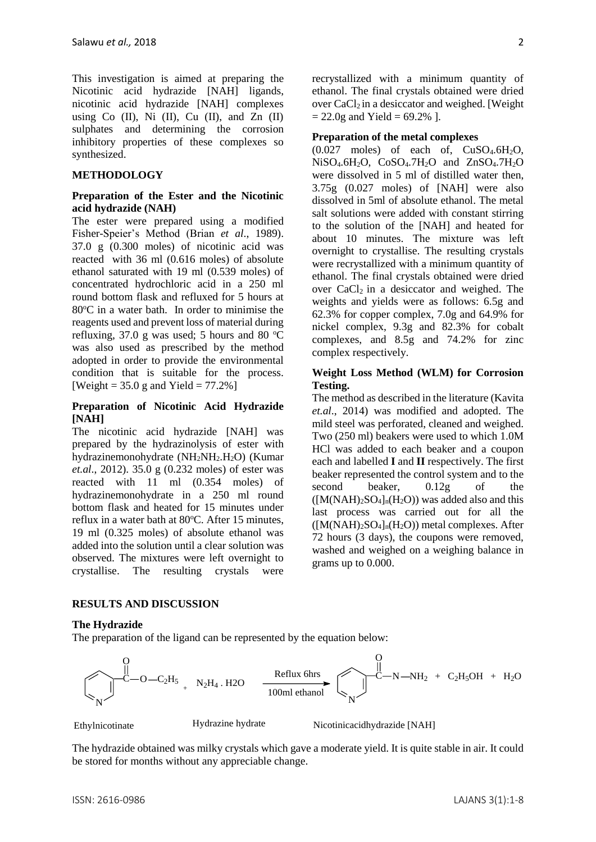This investigation is aimed at preparing the Nicotinic acid hydrazide [NAH] ligands, nicotinic acid hydrazide [NAH] complexes using Co  $(II)$ , Ni  $(II)$ , Cu  $(II)$ , and Zn  $(II)$ sulphates and determining the corrosion inhibitory properties of these complexes so synthesized.

### **METHODOLOGY**

### **Preparation of the Ester and the Nicotinic acid hydrazide (NAH)**

The ester were prepared using a modified Fisher-Speier's Method (Brian *et al*., 1989). 37.0 g (0.300 moles) of nicotinic acid was reacted with 36 ml (0.616 moles) of absolute ethanol saturated with 19 ml (0.539 moles) of concentrated hydrochloric acid in a 250 ml round bottom flask and refluxed for 5 hours at  $80^{\circ}$ C in a water bath. In order to minimise the reagents used and prevent loss of material during refluxing, 37.0 g was used; 5 hours and 80  $^{\circ}$ C was also used as prescribed by the method adopted in order to provide the environmental condition that is suitable for the process. [Weight = 35.0 g and Yield =  $77.2\%$ ]

### **Preparation of Nicotinic Acid Hydrazide [NAH]**

The nicotinic acid hydrazide [NAH] was prepared by the hydrazinolysis of ester with hydrazinemonohydrate (NH<sub>2</sub>NH<sub>2</sub>.H<sub>2</sub>O) (Kumar *et.al*., 2012). 35.0 g (0.232 moles) of ester was reacted with 11 ml (0.354 moles) of hydrazinemonohydrate in a 250 ml round bottom flask and heated for 15 minutes under reflux in a water bath at  $80^{\circ}$ C. After 15 minutes, 19 ml (0.325 moles) of absolute ethanol was added into the solution until a clear solution was observed. The mixtures were left overnight to crystallise. The resulting crystals were recrystallized with a minimum quantity of ethanol. The final crystals obtained were dried over CaCl<sub>2</sub> in a desiccator and weighed. [Weight  $= 22.0$ g and Yield  $= 69.2\%$  l.

### **Preparation of the metal complexes**

 $(0.027 \text{ moles})$  of each of,  $CuSO<sub>4</sub>.6H<sub>2</sub>O$ ,  $NiSO<sub>4</sub>.6H<sub>2</sub>O$ ,  $CoSO<sub>4</sub>.7H<sub>2</sub>O$  and  $ZnSO<sub>4</sub>.7H<sub>2</sub>O$ were dissolved in 5 ml of distilled water then, 3.75g (0.027 moles) of [NAH] were also dissolved in 5ml of absolute ethanol. The metal salt solutions were added with constant stirring to the solution of the [NAH] and heated for about 10 minutes. The mixture was left overnight to crystallise. The resulting crystals were recrystallized with a minimum quantity of ethanol. The final crystals obtained were dried over CaCl<sub>2</sub> in a desiccator and weighed. The weights and yields were as follows: 6.5g and 62.3% for copper complex, 7.0g and 64.9% for nickel complex, 9.3g and 82.3% for cobalt complexes, and 8.5g and 74.2% for zinc complex respectively.

### **Weight Loss Method (WLM) for Corrosion Testing.**

The method as described in the literature (Kavita *et.al*., 2014) was modified and adopted. The mild steel was perforated, cleaned and weighed. Two (250 ml) beakers were used to which 1.0M HCl was added to each beaker and a coupon each and labelled **I** and **II** respectively. The first beaker represented the control system and to the second beaker,  $0.12g$  of the  $([M(NAH)_2SO_4]_n(H_2O))$  was added also and this last process was carried out for all the  $([M(NAH)_2SO_4]_n(H_2O))$  metal complexes. After 72 hours (3 days), the coupons were removed, washed and weighed on a weighing balance in grams up to 0.000.

#### **RESULTS AND DISCUSSION**

#### **The Hydrazide**

The preparation of the ligand can be represented by the equation below:



Ethylnicotinate Hydrazine hydrate Nicotinicacidhydrazide [NAH]

The hydrazide obtained was milky crystals which gave a moderate yield. It is quite stable in air. It could be stored for months without any appreciable change.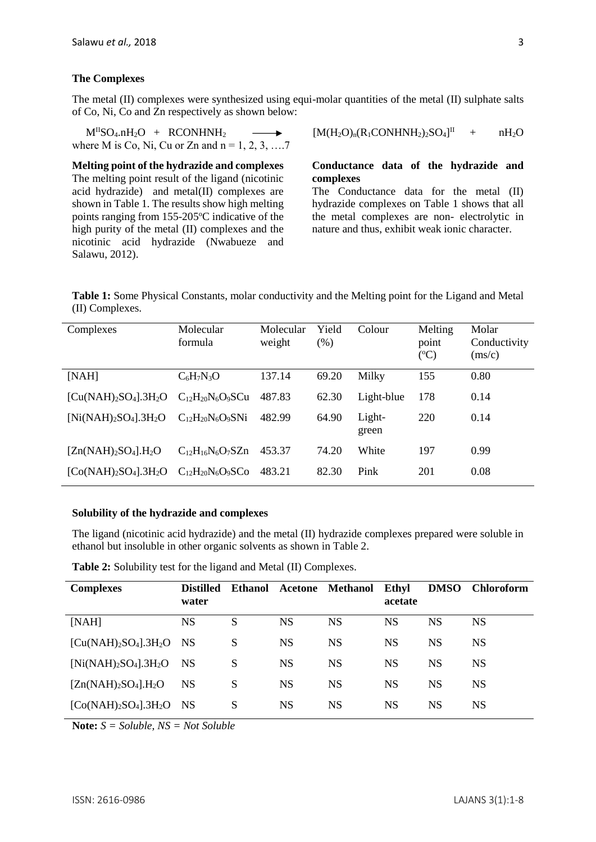#### **The Complexes**

The metal (II) complexes were synthesized using equi-molar quantities of the metal (II) sulphate salts of Co, Ni, Co and Zn respectively as shown below:

 $M<sup>II</sup>SO<sub>4</sub>.nH<sub>2</sub>O + RCONHNH<sub>2</sub>$ where M is Co, Ni, Cu or Zn and  $n = 1, 2, 3, \ldots$ 7

**Melting point of the hydrazide and complexes** The melting point result of the ligand (nicotinic acid hydrazide) and metal(II) complexes are shown in Table 1. The results show high melting points ranging from  $155-205^{\circ}$ C indicative of the high purity of the metal (II) complexes and the nicotinic acid hydrazide (Nwabueze and Salawu, 2012).

 $[M(H_2O)_n(R_1CONHNH_2)_2SO_4]^{\text{II}}$  +  $nH<sub>2</sub>O$ 

### **Conductance data of the hydrazide and complexes**

The Conductance data for the metal (II) hydrazide complexes on Table 1 shows that all the metal complexes are non- electrolytic in nature and thus, exhibit weak ionic character.

**Table 1:** Some Physical Constants, molar conductivity and the Melting point for the Ligand and Metal (II) Complexes.

| Complexes            | Molecular<br>formula     | Molecular<br>weight | Yield<br>(% ) | Colour          | Melting<br>point<br>$({}^{\circ}C)$ | Molar<br>Conductivity<br>(ms/c) |
|----------------------|--------------------------|---------------------|---------------|-----------------|-------------------------------------|---------------------------------|
| [NAH]                | $C_6H_7N_3O$             | 137.14              | 69.20         | Milky           | 155                                 | 0.80                            |
| $[Cu(NAH)2SO4].3H2O$ | $C_{12}H_{20}N_6O_9SCu$  | 487.83              | 62.30         | Light-blue      | 178                                 | 0.14                            |
| $[Ni(NAH)2SO4].3H2O$ | $C_{12}H_{20}N_6O_9SNi$  | 482.99              | 64.90         | Light-<br>green | 220                                 | 0.14                            |
| $[Zn(NAH)2SO4].H2O$  | $C_{12}H_{16}N_6O_7SZn$  | 453.37              | 74.20         | White           | 197                                 | 0.99                            |
| $[Co(NAH)2SO4].3H2O$ | $C_{12}H_{20}N_6O_9SC_0$ | 483.21              | 82.30         | Pink            | 201                                 | 0.08                            |

#### **Solubility of the hydrazide and complexes**

The ligand (nicotinic acid hydrazide) and the metal (II) hydrazide complexes prepared were soluble in ethanol but insoluble in other organic solvents as shown in Table 2.

**Table 2:** Solubility test for the ligand and Metal (II) Complexes.

| <b>Complexes</b>              | <b>Distilled</b><br>water | Ethanol |    | <b>Acetone Methanol</b> | Ethyl<br>acetate | <b>DMSO</b> | <b>Chloroform</b> |
|-------------------------------|---------------------------|---------|----|-------------------------|------------------|-------------|-------------------|
| [NAH]                         | NS                        | S       | NS | <b>NS</b>               | NS               | NS          | <b>NS</b>         |
| $\text{[Cu(NAH)2SO4].3H2O$ NS |                           | S       | NS | <b>NS</b>               | <b>NS</b>        | NS          | <b>NS</b>         |
| $[Ni(NAH)2SO4].3H2O$          | <b>NS</b>                 | S       | NS | <b>NS</b>               | NS               | NS          | <b>NS</b>         |
| $[Zn(NAH)2SO4].H2O$           | NS.                       | S       | NS | <b>NS</b>               | NS               | NS          | <b>NS</b>         |
| $[Co(NAH)2SO4].3H2O$ NS       |                           | S       | NS | NS                      | NS               | NS          | <b>NS</b>         |

**Note:** *S = Soluble, NS = Not Soluble*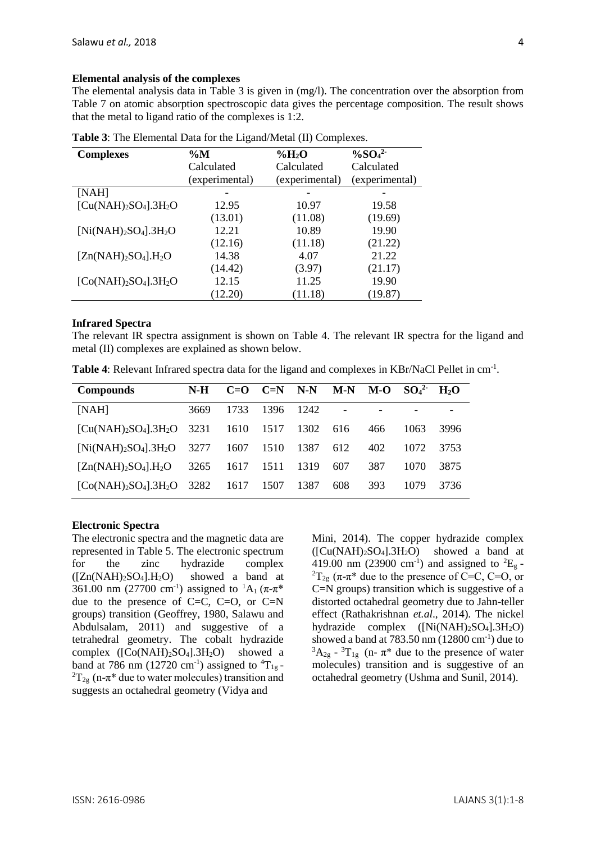#### **Elemental analysis of the complexes**

The elemental analysis data in Table 3 is given in (mg/l). The concentration over the absorption from Table 7 on atomic absorption spectroscopic data gives the percentage composition. The result shows that the metal to ligand ratio of the complexes is 1:2.

| <b>Complexes</b>                   | $\%M$          | $\%H_2O$       | $\%SO_4^2$     |
|------------------------------------|----------------|----------------|----------------|
|                                    | Calculated     | Calculated     | Calculated     |
|                                    | (experimental) | (experimental) | (experimental) |
| [NAH]                              |                |                |                |
| $[Cu(NAH)2SO4].3H2O$               | 12.95          | 10.97          | 19.58          |
|                                    | (13.01)        | (11.08)        | (19.69)        |
| $[Ni(NAH)2SO4].3H2O$               | 12.21          | 10.89          | 19.90          |
|                                    | (12.16)        | (11.18)        | (21.22)        |
| $[Zn(NAH)2SO4].H2O$                | 14.38          | 4.07           | 21.22          |
|                                    | (14.42)        | (3.97)         | (21.17)        |
| $[Co(NAH)2SO4]$ .3H <sub>2</sub> O | 12.15          | 11.25          | 19.90          |
|                                    | (12.20)        | (11.18)        | (19.87)        |

**Table 3**: The Elemental Data for the Ligand/Metal (II) Complexes.

### **Infrared Spectra**

The relevant IR spectra assignment is shown on Table 4. The relevant IR spectra for the ligand and metal (II) complexes are explained as shown below.

|  |  | <b>Table 4:</b> Relevant Infrared spectra data for the ligand and complexes in KBr/NaCl Pellet in $cm^{-1}$ . |
|--|--|---------------------------------------------------------------------------------------------------------------|
|--|--|---------------------------------------------------------------------------------------------------------------|

| <b>Compounds</b>                                        | N-H  | $C=0$     | $C=N$ | $N-N$ | $M-N$                    | $M-O$                    | SO <sub>4</sub> <sup>2</sup> | H <sub>2</sub> O |
|---------------------------------------------------------|------|-----------|-------|-------|--------------------------|--------------------------|------------------------------|------------------|
| [NAH]                                                   | 3669 | 1733      | 1396  | 1242  | $\overline{\phantom{a}}$ | $\overline{\phantom{a}}$ |                              |                  |
| $\text{[Cu(NAH)$}_2\text{SO}_4$ .3H <sub>2</sub> O 3231 |      | 1610 1517 |       | 1302  | 616                      | 466                      | 1063                         | 3996             |
| $[Ni(NAH)2SO4].3H2O$                                    | 3277 | 1607      | 1510  | 1387  | 612                      | 402                      | 1072                         | 3753             |
| $[Zn(NAH)2SO4].H2O$                                     | 3265 | 1617      | 1511  | 1319  | 607                      | 387                      | 1070                         | 3875             |
| $[Co(NAH)2SO4].3H2O$                                    | 3282 | 1617      | 1507  | 1387  | 608                      | 393                      | 1079                         | 3736             |

### **Electronic Spectra**

The electronic spectra and the magnetic data are represented in Table 5. The electronic spectrum for the zinc hydrazide complex  $([Zn(NAH)_2SO_4].H_2O)$  showed a band at 361.00 nm (27700 cm<sup>-1</sup>) assigned to <sup>1</sup>A<sub>1</sub> ( $\pi$ - $\pi$ <sup>\*</sup> due to the presence of  $C=C, C=O$ , or  $C=N$ groups) transition (Geoffrey, 1980, Salawu and Abdulsalam, 2011) and suggestive of a tetrahedral geometry. The cobalt hydrazide complex  $( [Co(NAH)_2SO_4].3H_2O)$  showed a band at 786 nm (12720 cm<sup>-1</sup>) assigned to  ${}^{4}T_{1g}$  -<sup>2</sup>T<sub>2g</sub> (n-π<sup>\*</sup> due to water molecules) transition and suggests an octahedral geometry (Vidya and

Mini, 2014). The copper hydrazide complex  $([Cu(NAH)_2SO_4].3H_2O)$  showed a band at 419.00 nm (23900 cm<sup>-1</sup>) and assigned to <sup>2</sup>E<sub>g</sub>-<sup>2</sup>T<sub>2g</sub> (π-π<sup>\*</sup> due to the presence of C=C, C=O, or  $C=N$  groups) transition which is suggestive of a distorted octahedral geometry due to Jahn-teller effect (Rathakrishnan *et.al*., 2014). The nickel hydrazide complex  $(Ni(NAH)_2SO_4].3H_2O)$ showed a band at  $783.50 \text{ nm}$  (12800 cm<sup>-1</sup>) due to  ${}^{3}A_{2g}$  -  ${}^{3}T_{1g}$  (n-  $\pi^{*}$  due to the presence of water molecules) transition and is suggestive of an octahedral geometry (Ushma and Sunil, 2014).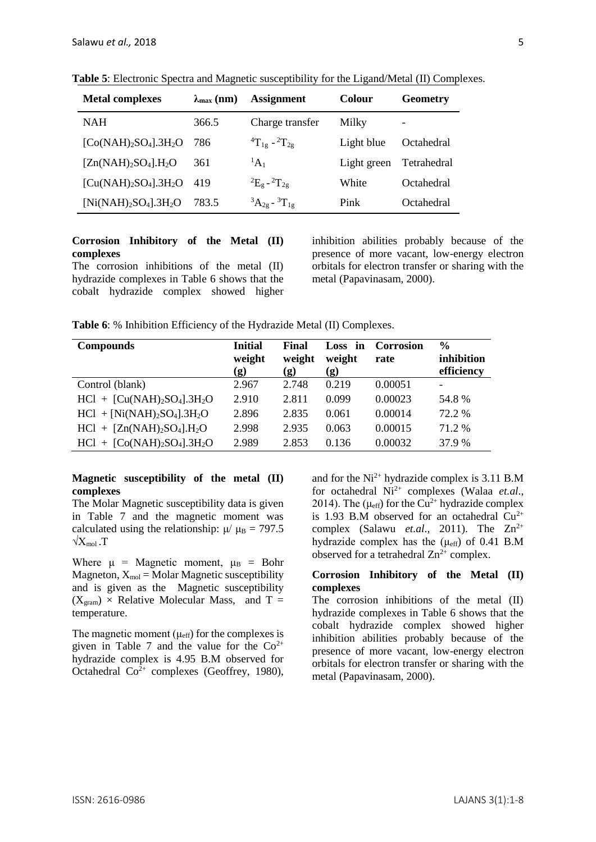| <b>Table 5:</b> Electronic Spectra and Magnetic susceptibility for the Ligand/Metal (II) Complexes. |  |
|-----------------------------------------------------------------------------------------------------|--|
|-----------------------------------------------------------------------------------------------------|--|

| <b>Metal complexes</b>                        | $\lambda_{\max}$ (nm) | <b>Assignment</b>               | <b>Colour</b> | <b>Geometry</b> |
|-----------------------------------------------|-----------------------|---------------------------------|---------------|-----------------|
| <b>NAH</b>                                    | 366.5                 | Charge transfer                 | Milky         |                 |
| $[Co(NAH)2SO4].3H2O$                          | 786                   | ${}^{4}T_{1g}$ - ${}^{2}T_{2g}$ | Light blue    | Octahedral      |
| $[Zn(NAH)2SO4].H2O$                           | 361                   | $\mathrm{A}_1$                  | Light green   | Tetrahedral     |
| $\left[Cu(NAH)2SO4\right]$ .3H <sub>2</sub> O | 419                   | ${}^{2}E_{g}$ - ${}^{2}T_{2g}$  | White         | Octahedral      |
| $[Ni(NAH)2SO4].3H2O$                          | 783.5                 | ${}^3A_{2g}$ - ${}^3T_{1g}$     | Pink          | Octahedral      |

### **Corrosion Inhibitory of the Metal (II) complexes**

The corrosion inhibitions of the metal (II) hydrazide complexes in Table 6 shows that the cobalt hydrazide complex showed higher inhibition abilities probably because of the presence of more vacant, low-energy electron orbitals for electron transfer or sharing with the metal (Papavinasam, 2000).

**Table 6**: % Inhibition Efficiency of the Hydrazide Metal (II) Complexes.

| <b>Compounds</b>             | <b>Initial</b><br>weight<br>(g) | Final<br>weight<br>(g) | Loss in<br>weight<br>$\left( \mathbf{g}\right)$ | <b>Corrosion</b><br>rate | $\frac{0}{0}$<br>inhibition<br>efficiency |
|------------------------------|---------------------------------|------------------------|-------------------------------------------------|--------------------------|-------------------------------------------|
| Control (blank)              | 2.967                           | 2.748                  | 0.219                                           | 0.00051                  |                                           |
| $HCl + [Cu(NAH)2SO4].3H2O$   | 2.910                           | 2.811                  | 0.099                                           | 0.00023                  | 54.8 %                                    |
| $HCl + [Ni(NAH)2SO4].3H2O$   | 2.896                           | 2.835                  | 0.061                                           | 0.00014                  | 72.2 %                                    |
| $HCl + [Zn(NAH)_2SO_4].H_2O$ | 2.998                           | 2.935                  | 0.063                                           | 0.00015                  | 71.2 %                                    |
| $HCl + [Co(NAH)2SO4].3H2O$   | 2.989                           | 2.853                  | 0.136                                           | 0.00032                  | 37.9 %                                    |

### **Magnetic susceptibility of the metal (II) complexes**

The Molar Magnetic susceptibility data is given in Table 7 and the magnetic moment was calculated using the relationship:  $\mu$ /  $\mu$ <sub>B</sub> = 797.5  $\sqrt{X_{\text{mol}}}\cdot T$ 

Where  $\mu$  = Magnetic moment,  $\mu_B$  = Bohr Magneton,  $X_{mol} =$  Molar Magnetic susceptibility and is given as the Magnetic susceptibility  $(X<sub>gram</sub>) \times Relative Molecular Mass, and T =$ temperature.

The magnetic moment  $(\mu_{\text{eff}})$  for the complexes is given in Table 7 and the value for the  $Co^{2+}$ hydrazide complex is 4.95 B.M observed for Octahedral  $Co<sup>2+</sup>$  complexes (Geoffrey, 1980), and for the  $Ni<sup>2+</sup>$  hydrazide complex is 3.11 B.M for octahedral Ni2+ complexes (Walaa *et.al*., 2014). The ( $\mu_{eff}$ ) for the Cu<sup>2+</sup> hydrazide complex is 1.93 B.M observed for an octahedral  $Cu^{2+}$ complex (Salawu *et.al.*, 2011). The  $Zn^{2+}$ hydrazide complex has the  $(\mu_{\text{eff}})$  of 0.41 B.M observed for a tetrahedral  $Zn^{2+}$  complex.

#### **Corrosion Inhibitory of the Metal (II) complexes**

The corrosion inhibitions of the metal (II) hydrazide complexes in Table 6 shows that the cobalt hydrazide complex showed higher inhibition abilities probably because of the presence of more vacant, low-energy electron orbitals for electron transfer or sharing with the metal (Papavinasam, 2000).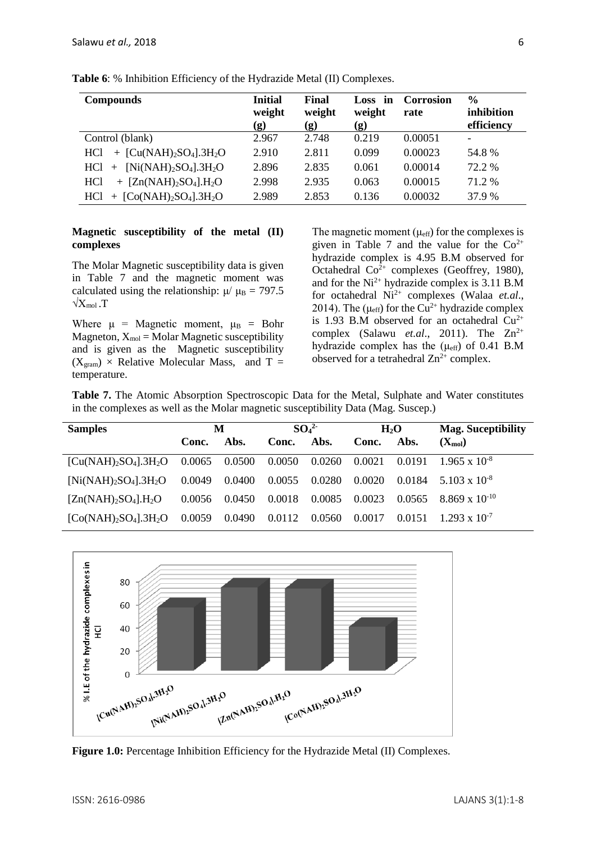| <b>Compounds</b>                            | <b>Initial</b><br>weight<br>(g) | Final<br>weight<br>(g) | Loss in<br>weight<br>$\left( \mathbf{g}\right)$ | <b>Corrosion</b><br>rate | $\frac{0}{0}$<br>inhibition<br>efficiency |
|---------------------------------------------|---------------------------------|------------------------|-------------------------------------------------|--------------------------|-------------------------------------------|
| Control (blank)                             | 2.967                           | 2.748                  | 0.219                                           | 0.00051                  |                                           |
| + $[Cu(NAH)_2SO_4].3H_2O$<br>HCl            | 2.910                           | 2.811                  | 0.099                                           | 0.00023                  | 54.8%                                     |
| $[Ni(NAH)2SO4].3H2O$<br>$HCl +$             | 2.896                           | 2.835                  | 0.061                                           | 0.00014                  | 72.2 %                                    |
| + $[Zn(NAH)_2SO_4].H_2O$<br>HC <sub>1</sub> | 2.998                           | 2.935                  | 0.063                                           | 0.00015                  | 71.2 %                                    |
| + $[Co(NAH)_2SO_4].3H_2O$<br>HCl            | 2.989                           | 2.853                  | 0.136                                           | 0.00032                  | 37.9 %                                    |

**Table 6**: % Inhibition Efficiency of the Hydrazide Metal (II) Complexes.

### **Magnetic susceptibility of the metal (II) complexes**

The Molar Magnetic susceptibility data is given in Table 7 and the magnetic moment was calculated using the relationship:  $\mu / \mu_B = 797.5$  $\sqrt{X_{\text{mol}}}\cdot T$ 

Where  $\mu$  = Magnetic moment,  $\mu_B$  = Bohr Magneton,  $X_{mol} =$  Molar Magnetic susceptibility and is given as the Magnetic susceptibility  $(X<sub>gram</sub>) \times Relative Molecular Mass, and T =$ temperature.

The magnetic moment  $(\mu_{\text{eff}})$  for the complexes is given in Table 7 and the value for the  $Co^{2+}$ hydrazide complex is 4.95 B.M observed for Octahedral  $Co<sup>2+</sup>$  complexes (Geoffrey, 1980), and for the  $Ni^{2+}$  hydrazide complex is 3.11 B.M for octahedral Ni2+ complexes (Walaa *et.al*., 2014). The ( $\mu_{\text{eff}}$ ) for the Cu<sup>2+</sup> hydrazide complex is 1.93 B.M observed for an octahedral  $Cu^{2+}$ complex (Salawu *et.al.*, 2011). The  $Zn^{2+}$ hydrazide complex has the  $(\mu_{\text{eff}})$  of 0.41 B.M observed for a tetrahedral  $Zn^{2+}$  complex.

**Table 7.** The Atomic Absorption Spectroscopic Data for the Metal, Sulphate and Water constitutes in the complexes as well as the Molar magnetic susceptibility Data (Mag. Suscep.)

| <b>Samples</b>              | M      |        | SO <sub>4</sub> <sup>2</sup> |        | $H_2O$ |        | <b>Mag. Suceptibility</b> |
|-----------------------------|--------|--------|------------------------------|--------|--------|--------|---------------------------|
|                             | Conc.  | Abs.   | Conc.                        | Abs.   | Conc.  | Abs.   | $(X_{mol})$               |
| $\text{[Cu(NAH)2SO4].3H2O}$ | 0.0065 | 0.0500 | 0.0050                       | 0.0260 | 0.0021 | 0.0191 | $1.965 \times 10^{-8}$    |
| $[Ni(NAH)2SO4].3H2O$        | 0.0049 | 0.0400 | 0.0055                       | 0.0280 | 0.0020 | 0.0184 | $5.103 \times 10^{-8}$    |
| $[Zn(NAH)2SO4].H2O$         | 0.0056 | 0.0450 | 0.0018                       | 0.0085 | 0.0023 | 0.0565 | $8.869 \times 10^{-10}$   |
| $[Co(NAH)2SO4].3H2O$        | 0.0059 | 0.0490 | 0.0112                       | 0.0560 | 0.0017 | 0.0151 | $1.293 \times 10^{-7}$    |



Figure 1.0: Percentage Inhibition Efficiency for the Hydrazide Metal (II) Complexes.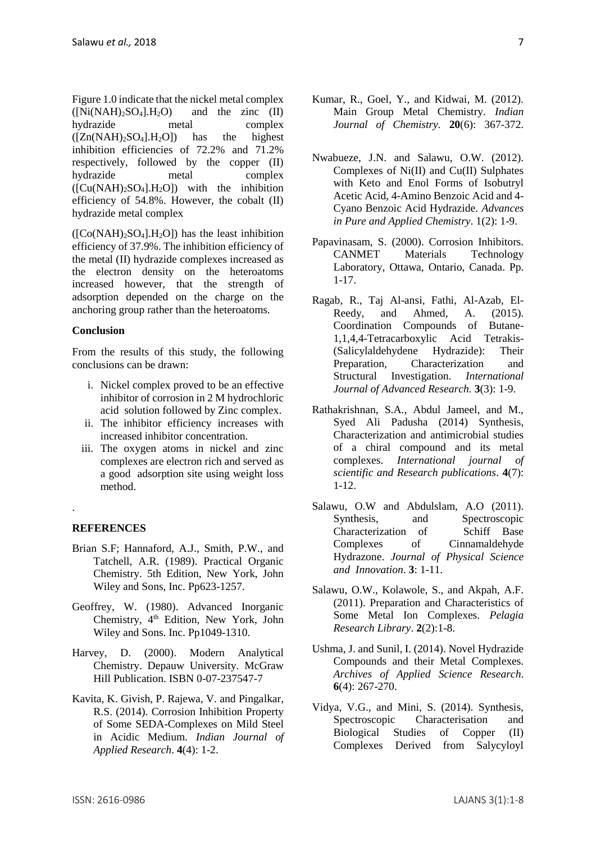Figure 1.0 indicate that the nickel metal complex  $([Ni(NAH)_2SO_4].H_2O)$  and the zinc  $([I])$ hydrazide metal complex  $(IZn(NAH)<sub>2</sub>SO<sub>4</sub>].H<sub>2</sub>OI)$  has the highest inhibition efficiencies of 72.2% and 71.2% respectively, followed by the copper (II) hydrazide metal complex  $(ICu(NAH)_{2}SO_{4}I.H_{2}O I)$  with the inhibition efficiency of 54.8%. However, the cobalt (II) hydrazide metal complex

 $([Co(NAH)<sub>2</sub>SO<sub>4</sub>].H<sub>2</sub>O])$  has the least inhibition efficiency of 37.9%. The inhibition efficiency of the metal (II) hydrazide complexes increased as the electron density on the heteroatoms increased however, that the strength of adsorption depended on the charge on the anchoring group rather than the heteroatoms.

#### **Conclusion**

From the results of this study, the following conclusions can be drawn:

- i. Nickel complex proved to be an effective inhibitor of corrosion in 2 M hydrochloric acid solution followed by Zinc complex.
- ii. The inhibitor efficiency increases with increased inhibitor concentration.
- iii. The oxygen atoms in nickel and zinc complexes are electron rich and served as a good adsorption site using weight loss method.

#### **REFERENCES**

.

- Brian S.F; Hannaford, A.J., Smith, P.W., and Tatchell, A.R. (1989). Practical Organic Chemistry. 5th Edition, New York, John Wiley and Sons, Inc. Pp623-1257.
- Geoffrey, W. (1980). Advanced Inorganic Chemistry, 4<sup>th</sup> Edition, New York, John Wiley and Sons. Inc. Pp1049-1310.
- Harvey, D. (2000). Modern Analytical Chemistry. Depauw University. McGraw Hill Publication. ISBN 0-07-237547-7
- Kavita, K. Givish, P. Rajewa, V. and Pingalkar, R.S. (2014). Corrosion Inhibition Property of Some SEDA-Complexes on Mild Steel in Acidic Medium. *Indian Journal of Applied Research*. **4**(4): 1-2.
- Kumar, R., Goel, Y., and Kidwai, M. (2012). Main Group Metal Chemistry. *Indian Journal of Chemistry.* **20**(6): 367-372.
- Nwabueze, J.N. and Salawu, O.W. (2012). Complexes of Ni(II) and Cu(II) Sulphates with Keto and Enol Forms of Isobutryl Acetic Acid, 4-Amino Benzoic Acid and 4- Cyano Benzoic Acid Hydrazide. *Advances in Pure and Applied Chemistry*. 1(2): 1-9.
- Papavinasam, S. (2000). Corrosion Inhibitors. CANMET Materials Technology Laboratory, Ottawa, Ontario, Canada. Pp. 1-17.
- Ragab, R., Taj Al-ansi, Fathi, Al-Azab, El-Reedy, and Ahmed, A. (2015). Coordination Compounds of Butane-1,1,4,4-Tetracarboxylic Acid Tetrakis- (Salicylaldehydene Hydrazide): Their Preparation, Characterization and Structural Investigation. *International Journal of Advanced Research.* **3**(3): 1-9.
- Rathakrishnan, S.A., Abdul Jameel, and M., Syed Ali Padusha (2014) Synthesis, Characterization and antimicrobial studies of a chiral compound and its metal complexes. *International journal of scientific and Research publications*. **4**(7): 1-12.
- Salawu, O.W and Abdulslam, A.O (2011). Synthesis, and Spectroscopic Characterization of Schiff Base Complexes of Cinnamaldehyde Hydrazone. *Journal of Physical Science and Innovation*. **3**: 1-11.
- Salawu, O.W., Kolawole, S., and Akpah, A.F. (2011). Preparation and Characteristics of Some Metal Ion Complexes. *Pelagia Research Library*. **2**(2):1-8.
- Ushma, J. and Sunil, I. (2014). Novel Hydrazide Compounds and their Metal Complexes. *Archives of Applied Science Research*. **6**(4): 267-270.
- Vidya, V.G., and Mini, S. (2014). Synthesis, Spectroscopic Characterisation and Biological Studies of Copper (II) Complexes Derived from Salycyloyl